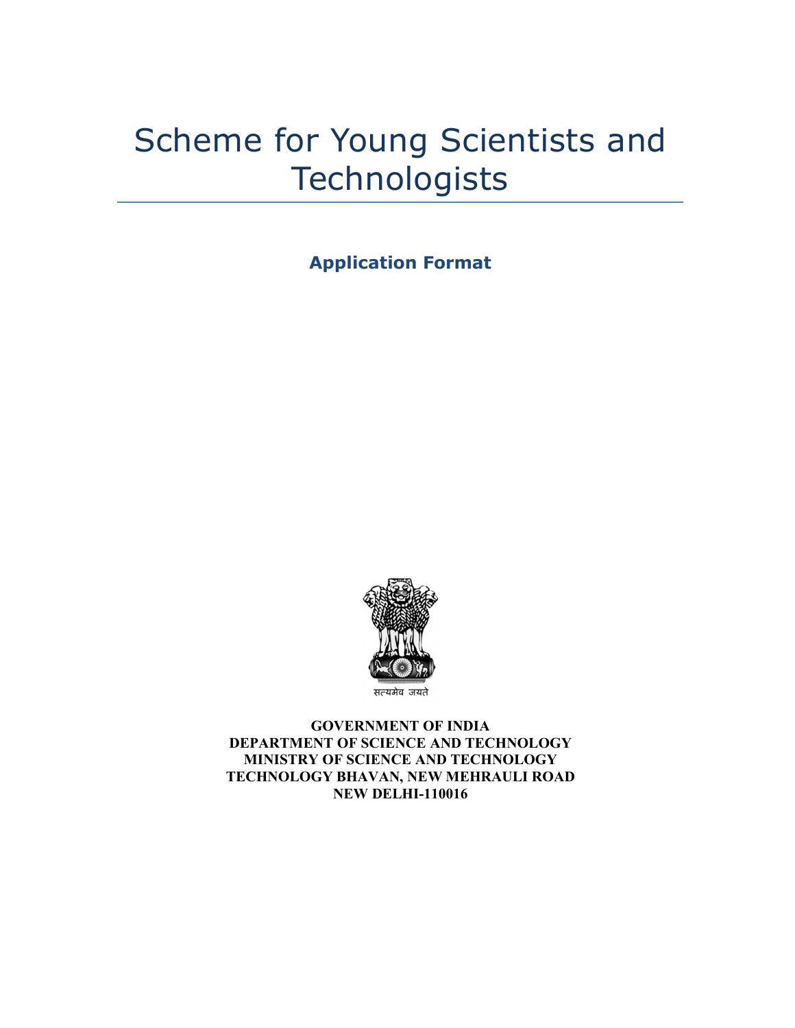# Scheme for Young Scientists and **Technologists**

**Application Format**



सत्यमेव जयते

**GOVERNMENT OF INDIA DEPARTMENT OF SCIENCE AND TECHNOLOGY MINISTRY OF SCIENCE AND TECHNOLOGY TECHNOLOGY BHAVAN, NEW MEHRAULI ROAD NEW DELHI-110016**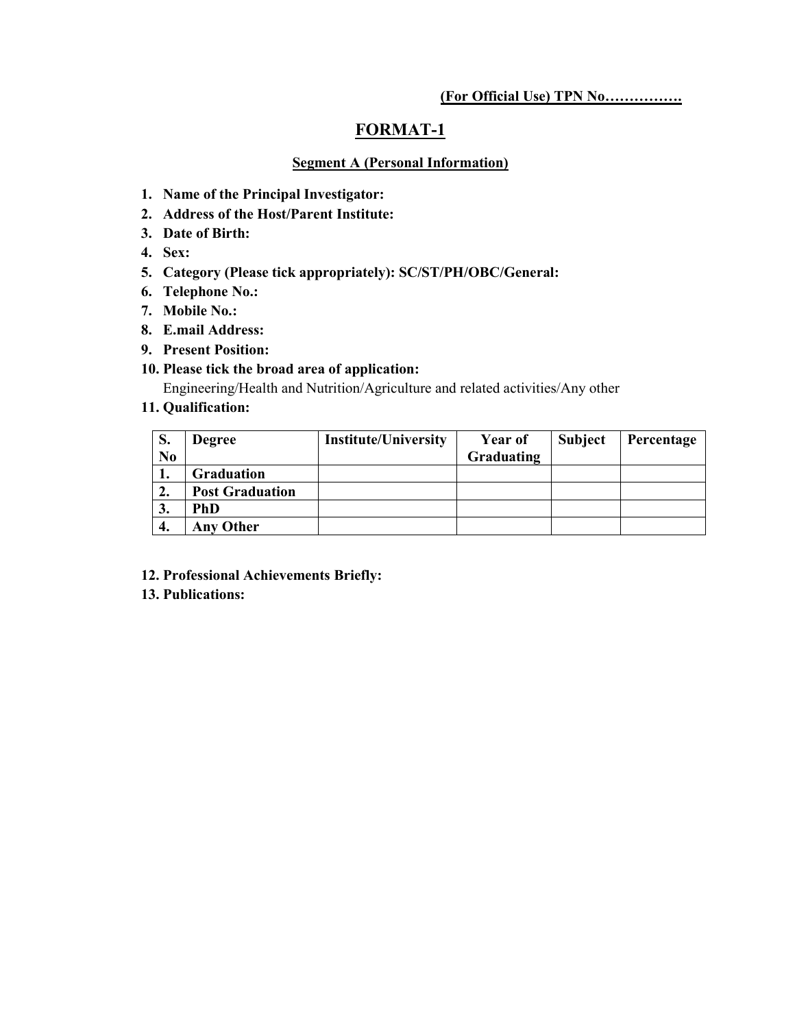# **FORMAT-1**

## **Segment A (Personal Information)**

- **1. Name of the Principal Investigator:**
- **2. Address of the Host/Parent Institute:**
- **3. Date of Birth:**
- **4. Sex:**
- **5. Category (Please tick appropriately): SC/ST/PH/OBC/General:**
- **6. Telephone No.:**
- **7. Mobile No.:**
- **8. E.mail Address:**
- **9. Present Position:**

## **10. Please tick the broad area of application:**

Engineering/Health and Nutrition/Agriculture and related activities/Any other

# **11. Qualification:**

| S.             | <b>Degree</b>          | <b>Institute/University</b> | <b>Year of</b> | <b>Subject</b> | Percentage |
|----------------|------------------------|-----------------------------|----------------|----------------|------------|
| N <sub>0</sub> |                        |                             | Graduating     |                |            |
| 1.             | <b>Graduation</b>      |                             |                |                |            |
| 2.             | <b>Post Graduation</b> |                             |                |                |            |
| 3.             | PhD                    |                             |                |                |            |
|                | <b>Any Other</b>       |                             |                |                |            |

- **12. Professional Achievements Briefly:**
- **13. Publications:**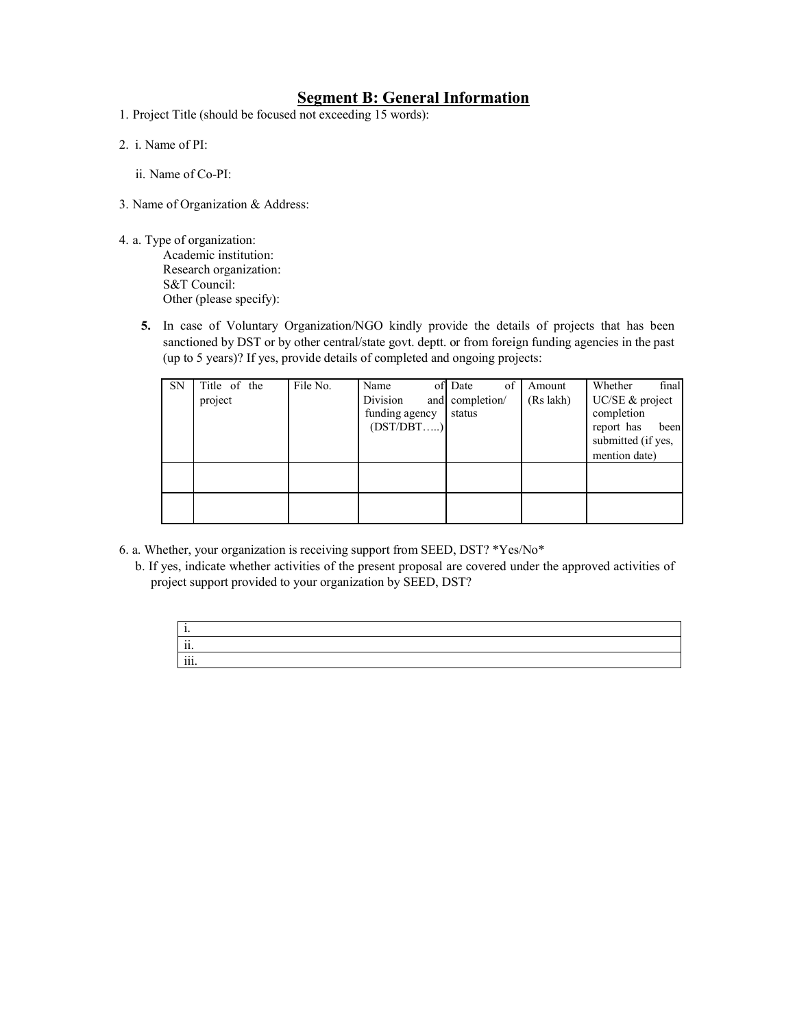# **Segment B: General Information**

- 1. Project Title (should be focused not exceeding 15 words):
- 2. i. Name of PI:

ii. Name of Co-PI:

- 3. Name of Organization & Address:
- 4. a. Type of organization:

Academic institution: Research organization: S&T Council: Other (please specify):

**5.** In case of Voluntary Organization/NGO kindly provide the details of projects that has been sanctioned by DST or by other central/state govt. deptt. or from foreign funding agencies in the past (up to 5 years)? If yes, provide details of completed and ongoing projects:

| <b>SN</b> | Title of the<br>project | File No. | Name<br>Division<br>funding agency<br>(DST/DBT) | of<br>of Date<br>and completion/<br>status | Amount<br>(Rs lakh) | final<br>Whether<br>UC/SE & project<br>completion<br>report has<br>been<br>submitted (if yes,<br>mention date) |
|-----------|-------------------------|----------|-------------------------------------------------|--------------------------------------------|---------------------|----------------------------------------------------------------------------------------------------------------|
|           |                         |          |                                                 |                                            |                     |                                                                                                                |
|           |                         |          |                                                 |                                            |                     |                                                                                                                |

- 6. a. Whether, your organization is receiving support from SEED, DST? \*Yes/No\*
	- b. If yes, indicate whether activities of the present proposal are covered under the approved activities of project support provided to your organization by SEED, DST?

| . .<br>.,            |  |  |
|----------------------|--|--|
| $\cdot \cdot$<br>11. |  |  |
| iii.                 |  |  |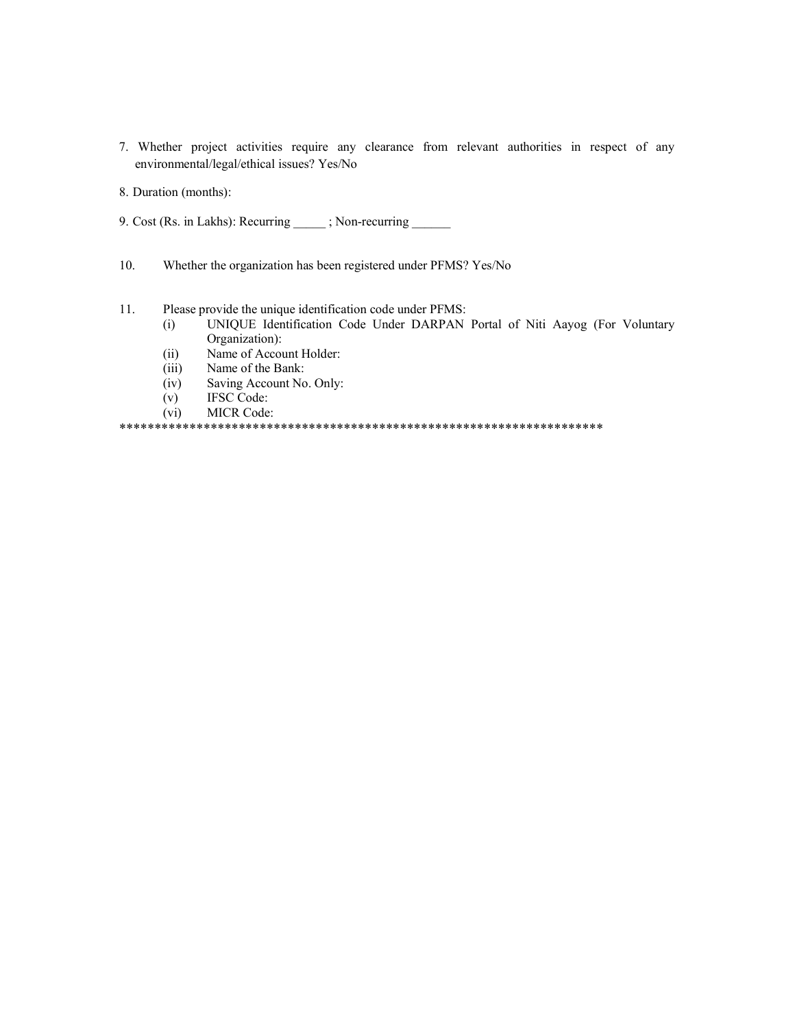- 7. Whether project activities require any clearance from relevant authorities in respect of any environmental/legal/ethical issues? Yes/No
- 8. Duration (months):
- 9. Cost (Rs. in Lakhs): Recurring  $\qquad$ ; Non-recurring
- 10. Whether the organization has been registered under PFMS? Yes/No
- 11. Please provide the unique identification code under PFMS:
	- (i) UNIQUE Identification Code Under DARPAN Portal of Niti Aayog (For Voluntary Organization):
	- (ii) Name of Account Holder:
	- (iii) Name of the Bank:
	- (iv) Saving Account No. Only:
	- (v) IFSC Code:
	- (vi) MICR Code:

\*\*\*\*\*\*\*\*\*\*\*\*\*\*\*\*\*\*\*\*\*\*\*\*\*\*\*\*\*\*\*\*\*\*\*\*\*\*\*\*\*\*\*\*\*\*\*\*\*\*\*\*\*\*\*\*\*\*\*\*\*\*\*\*\*\*\*\*\*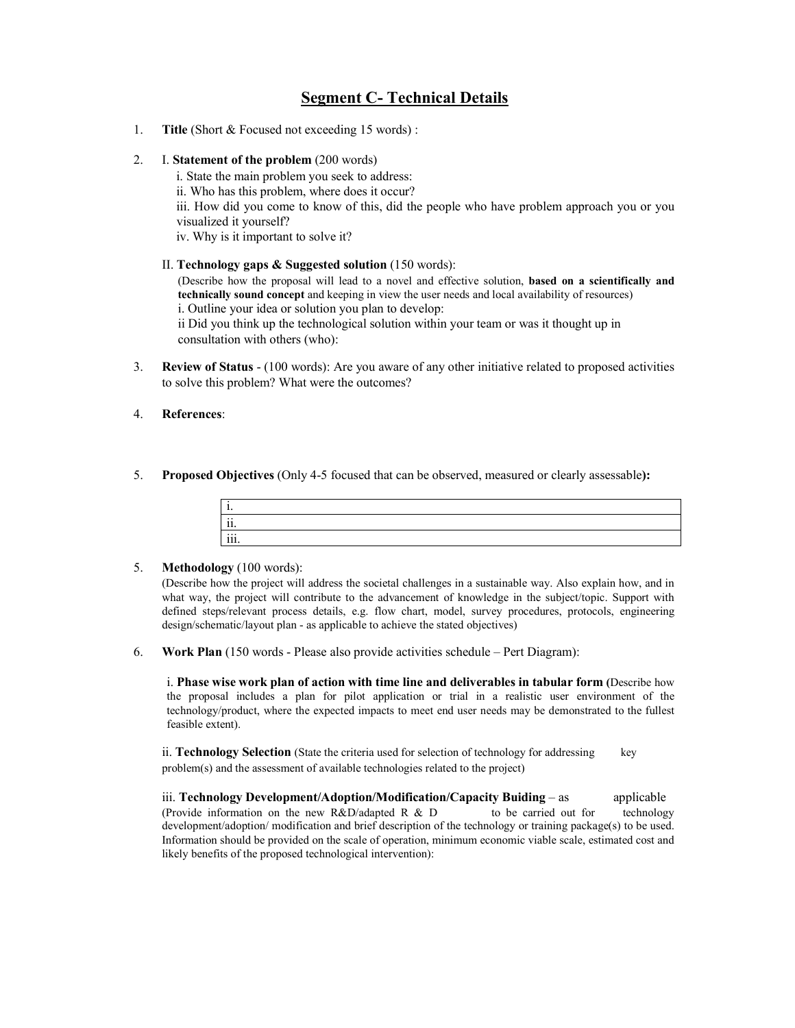# **Segment C- Technical Details**

- 1. **Title** (Short & Focused not exceeding 15 words) :
- 2. I. **Statement of the problem** (200 words)

i. State the main problem you seek to address: ii. Who has this problem, where does it occur? iii. How did you come to know of this, did the people who have problem approach you or you visualized it yourself? iv. Why is it important to solve it?

#### II. **Technology gaps & Suggested solution** (150 words):

(Describe how the proposal will lead to a novel and effective solution, **based on a scientifically and technically sound concept** and keeping in view the user needs and local availability of resources) i. Outline your idea or solution you plan to develop:

ii Did you think up the technological solution within your team or was it thought up in consultation with others (who):

- 3. **Review of Status**  (100 words): Are you aware of any other initiative related to proposed activities to solve this problem? What were the outcomes?
- 4. **References**:
- 5. **Proposed Objectives** (Only 4-5 focused that can be observed, measured or clearly assessable**):**

| . .                  |  |  |
|----------------------|--|--|
| $\cdot \cdot$<br>11. |  |  |
| iii.                 |  |  |

#### 5. **Methodology** (100 words):

(Describe how the project will address the societal challenges in a sustainable way. Also explain how, and in what way, the project will contribute to the advancement of knowledge in the subject/topic. Support with defined steps/relevant process details, e.g. flow chart, model, survey procedures, protocols, engineering design/schematic/layout plan - as applicable to achieve the stated objectives)

6. **Work Plan** (150 words - Please also provide activities schedule – Pert Diagram):

i. **Phase wise work plan of action with time line and deliverables in tabular form (**Describe how the proposal includes a plan for pilot application or trial in a realistic user environment of the technology/product, where the expected impacts to meet end user needs may be demonstrated to the fullest feasible extent).

ii. **Technology Selection** (State the criteria used for selection of technology for addressing key problem(s) and the assessment of available technologies related to the project)

iii. **Technology Development/Adoption/Modification/Capacity Buiding** – as applicable (Provide information on the new R&D/adapted R & D to be carried out for technology development/adoption/ modification and brief description of the technology or training package(s) to be used. Information should be provided on the scale of operation, minimum economic viable scale, estimated cost and likely benefits of the proposed technological intervention):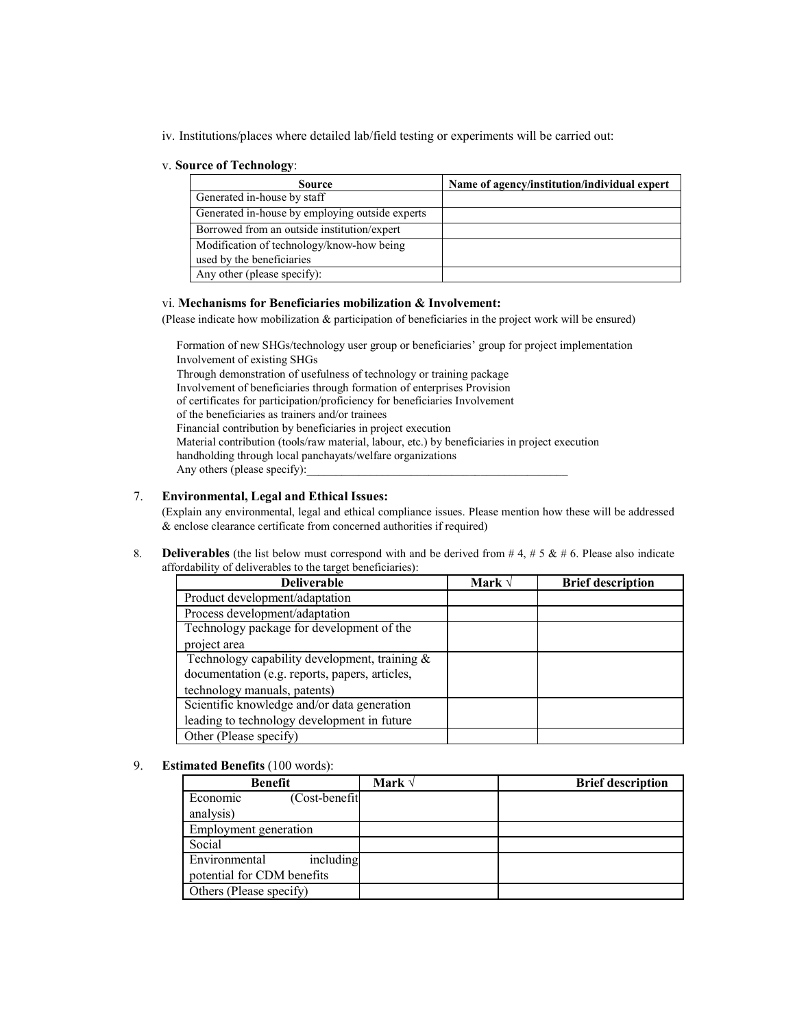iv. Institutions/places where detailed lab/field testing or experiments will be carried out:

#### v. **Source of Technology**:

| $\cdots$<br>Source                              | Name of agency/institution/individual expert |
|-------------------------------------------------|----------------------------------------------|
| Generated in-house by staff                     |                                              |
| Generated in-house by employing outside experts |                                              |
| Borrowed from an outside institution/expert     |                                              |
| Modification of technology/know-how being       |                                              |
| used by the beneficiaries                       |                                              |
| Any other (please specify):                     |                                              |

#### vi. **Mechanisms for Beneficiaries mobilization & Involvement:**

(Please indicate how mobilization & participation of beneficiaries in the project work will be ensured)

Formation of new SHGs/technology user group or beneficiaries' group for project implementation Involvement of existing SHGs Through demonstration of usefulness of technology or training package Involvement of beneficiaries through formation of enterprises Provision of certificates for participation/proficiency for beneficiaries Involvement of the beneficiaries as trainers and/or trainees Financial contribution by beneficiaries in project execution Material contribution (tools/raw material, labour, etc.) by beneficiaries in project execution handholding through local panchayats/welfare organizations Any others (please specify):

#### 7. **Environmental, Legal and Ethical Issues:**

(Explain any environmental, legal and ethical compliance issues. Please mention how these will be addressed & enclose clearance certificate from concerned authorities if required)

8. **Deliverables** (the list below must correspond with and be derived from  $# 4, # 5 \& # 6$ . Please also indicate affordability of deliverables to the target beneficiaries):

| <b>Deliverable</b>                             | Mark $\sqrt$ | <b>Brief description</b> |
|------------------------------------------------|--------------|--------------------------|
| Product development/adaptation                 |              |                          |
| Process development/adaptation                 |              |                          |
| Technology package for development of the      |              |                          |
| project area                                   |              |                          |
| Technology capability development, training &  |              |                          |
| documentation (e.g. reports, papers, articles, |              |                          |
| technology manuals, patents)                   |              |                          |
| Scientific knowledge and/or data generation    |              |                          |
| leading to technology development in future    |              |                          |
| Other (Please specify)                         |              |                          |

#### 9. **Estimated Benefits** (100 words):

| Benefit                    | Mark $\sqrt{}$ | <b>Brief description</b> |
|----------------------------|----------------|--------------------------|
| (Cost-benefit<br>Economic  |                |                          |
| analysis)                  |                |                          |
| Employment generation      |                |                          |
| Social                     |                |                          |
| Environmental<br>including |                |                          |
| potential for CDM benefits |                |                          |
| Others (Please specify)    |                |                          |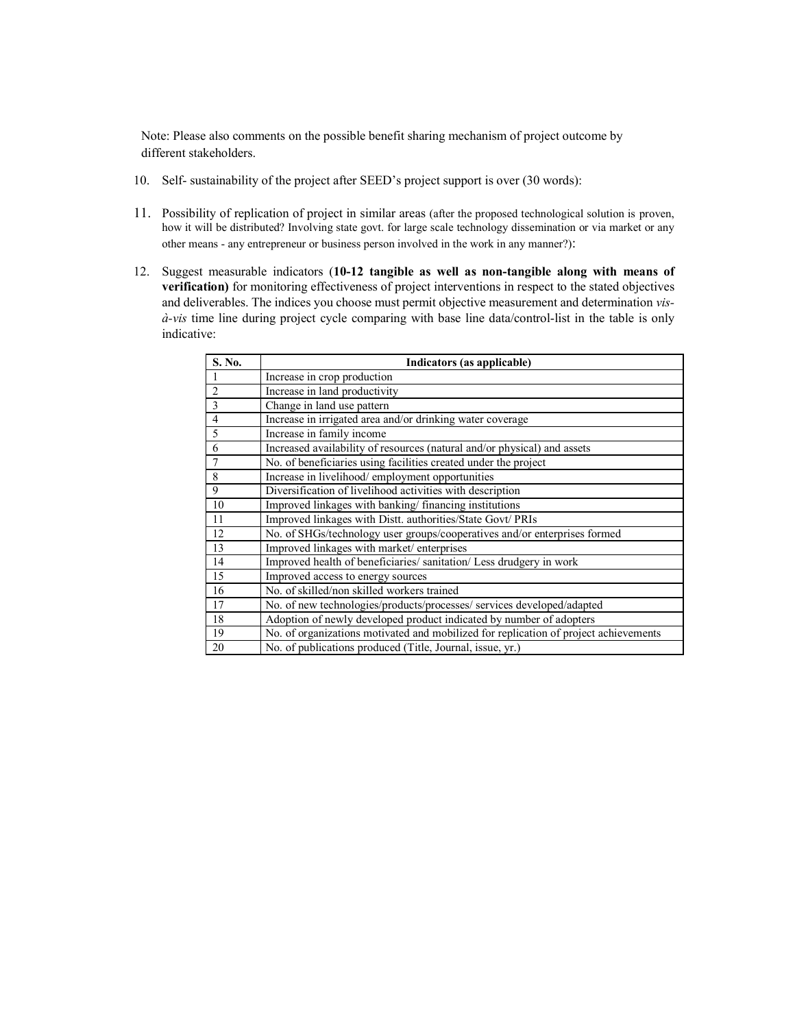Note: Please also comments on the possible benefit sharing mechanism of project outcome by different stakeholders.

- 10. Self- sustainability of the project after SEED's project support is over (30 words):
- 11. Possibility of replication of project in similar areas (after the proposed technological solution is proven, how it will be distributed? Involving state govt. for large scale technology dissemination or via market or any other means - any entrepreneur or business person involved in the work in any manner?):
- 12. Suggest measurable indicators (**10-12 tangible as well as non-tangible along with means of verification)** for monitoring effectiveness of project interventions in respect to the stated objectives and deliverables. The indices you choose must permit objective measurement and determination *visà-vis* time line during project cycle comparing with base line data/control-list in the table is only indicative:

| S. No.         | Indicators (as applicable)                                                           |
|----------------|--------------------------------------------------------------------------------------|
|                | Increase in crop production                                                          |
| $\overline{2}$ | Increase in land productivity                                                        |
| 3              | Change in land use pattern                                                           |
| $\overline{4}$ | Increase in irrigated area and/or drinking water coverage                            |
| 5              | Increase in family income                                                            |
| 6              | Increased availability of resources (natural and/or physical) and assets             |
|                | No. of beneficiaries using facilities created under the project                      |
| 8              | Increase in livelihood/employment opportunities                                      |
| 9              | Diversification of livelihood activities with description                            |
| 10             | Improved linkages with banking/financing institutions                                |
| 11             | Improved linkages with Distt. authorities/State Govt/ PRIs                           |
| 12             | No. of SHGs/technology user groups/cooperatives and/or enterprises formed            |
| 13             | Improved linkages with market/enterprises                                            |
| 14             | Improved health of beneficiaries/sanitation/Less drudgery in work                    |
| 15             | Improved access to energy sources                                                    |
| 16             | No. of skilled/non skilled workers trained                                           |
| 17             | No. of new technologies/products/processes/ services developed/adapted               |
| 18             | Adoption of newly developed product indicated by number of adopters                  |
| 19             | No. of organizations motivated and mobilized for replication of project achievements |
| 20             | No. of publications produced (Title, Journal, issue, yr.)                            |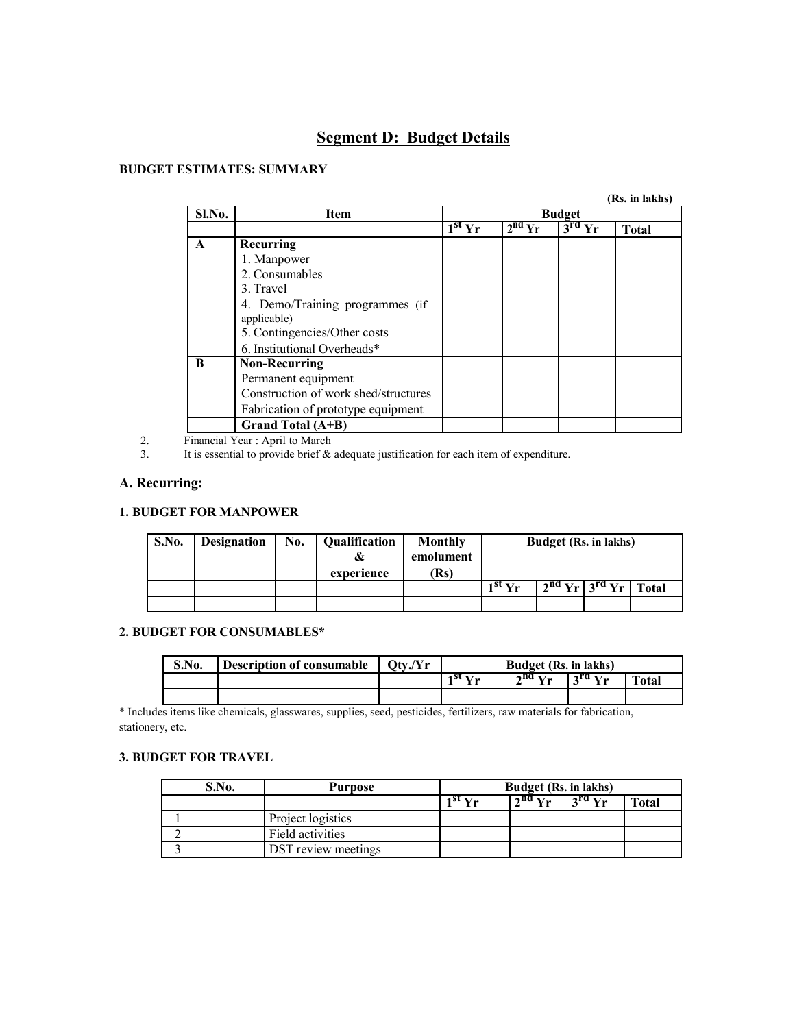# **Segment D: Budget Details**

#### **BUDGET ESTIMATES: SUMMARY**

| Sl.No. | <b>Budget</b><br>Item                |          |          |          |              |
|--------|--------------------------------------|----------|----------|----------|--------------|
|        |                                      | $1st$ Yr | $2nd$ Yr | $3rd$ Yr | <b>Total</b> |
| A      | Recurring                            |          |          |          |              |
|        | 1. Manpower                          |          |          |          |              |
|        | 2. Consumables                       |          |          |          |              |
|        | 3. Travel                            |          |          |          |              |
|        | 4. Demo/Training programmes (if      |          |          |          |              |
|        | applicable)                          |          |          |          |              |
|        | 5. Contingencies/Other costs         |          |          |          |              |
|        | 6. Institutional Overheads*          |          |          |          |              |
| B      | <b>Non-Recurring</b>                 |          |          |          |              |
|        | Permanent equipment                  |          |          |          |              |
|        | Construction of work shed/structures |          |          |          |              |
|        | Fabrication of prototype equipment   |          |          |          |              |
|        | Grand Total (A+B)                    |          |          |          |              |

2. Financial Year : April to March<br>3. It is essential to provide brief &

It is essential to provide brief  $\&$  adequate justification for each item of expenditure.

#### **A. Recurring:**

#### **1. BUDGET FOR MANPOWER**

| <b>S.No.</b> | <b>Designation</b> | No. | Qualification<br>experience | <b>Monthly</b><br>emolument<br>(Rs) | <b>Budget</b> (Rs. in lakhs) |                                           |  |  |
|--------------|--------------------|-----|-----------------------------|-------------------------------------|------------------------------|-------------------------------------------|--|--|
|              |                    |     |                             |                                     | $1^{st}$ Vr                  | $\sqrt{2^{nd} Yr} \sqrt{3^{rd} Yr}$ Total |  |  |
|              |                    |     |                             |                                     |                              |                                           |  |  |

#### **2. BUDGET FOR CONSUMABLES\***

| S.No. | Description of consumable $\int Qtv/Yr$ | <b>Budget</b> (Rs. in lakhs) |                   |  |       |
|-------|-----------------------------------------|------------------------------|-------------------|--|-------|
|       |                                         | 1 st $V_{\rm m}$             | $2nd$ Yr $3rd$ Yr |  | Total |
|       |                                         |                              |                   |  |       |

\* Includes items like chemicals, glasswares, supplies, seed, pesticides, fertilizers, raw materials for fabrication, stationery, etc.

#### **3. BUDGET FOR TRAVEL**

| S.No. | <b>Purpose</b>      | <b>Budget</b> (Rs. in lakhs) |                        |                                 |              |
|-------|---------------------|------------------------------|------------------------|---------------------------------|--------------|
|       |                     | 1 <sup>81</sup> V.,          | $2^{n}$ V <sub>r</sub> | $\frac{1}{3}$ and $\frac{1}{3}$ | <b>Total</b> |
|       | Project logistics   |                              |                        |                                 |              |
|       | Field activities    |                              |                        |                                 |              |
|       | DST review meetings |                              |                        |                                 |              |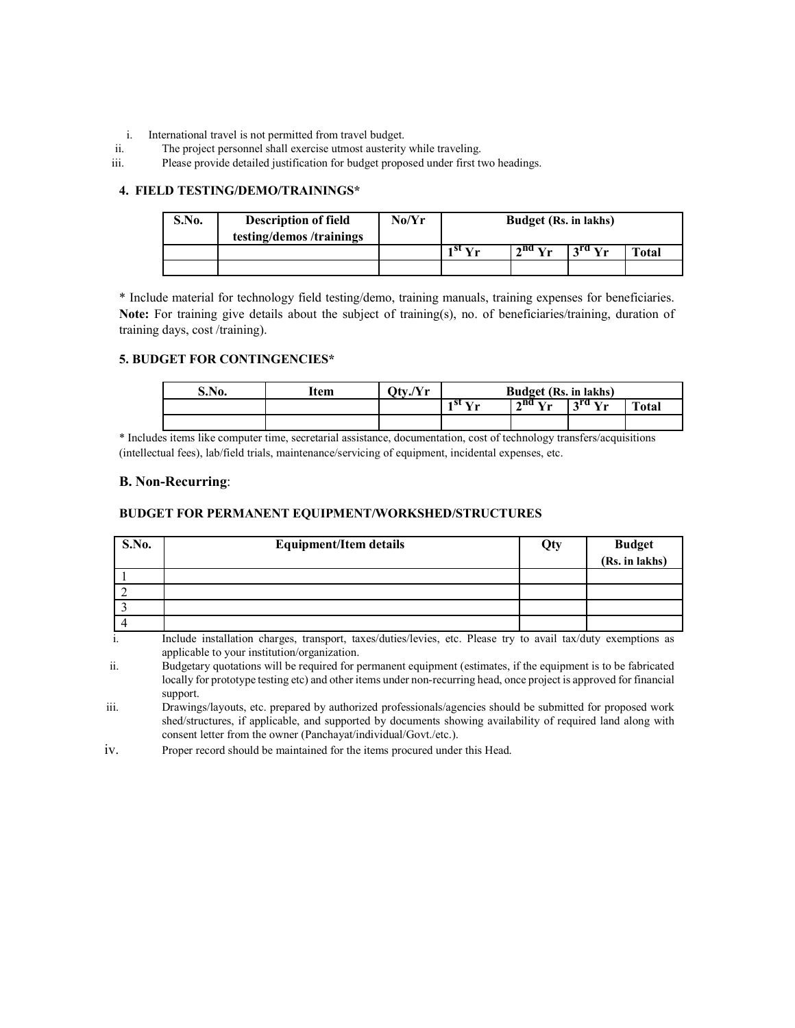- i. International travel is not permitted from travel budget.
- ii. The project personnel shall exercise utmost austerity while traveling.
- iii. Please provide detailed justification for budget proposed under first two headings.

#### **4. FIELD TESTING/DEMO/TRAININGS\***

| S.No. | <b>Description of field</b><br>testing/demos /trainings | No/Yr | <b>Budget</b> (Rs. in lakhs) |                                |          |              |
|-------|---------------------------------------------------------|-------|------------------------------|--------------------------------|----------|--------------|
|       |                                                         |       | 1st $\mathbf{v}_r$           | $\frac{1}{2}$ <sup>nd</sup> Yr | $3rd$ Yr | <b>Total</b> |
|       |                                                         |       |                              |                                |          |              |

\* Include material for technology field testing/demo, training manuals, training expenses for beneficiaries. **Note:** For training give details about the subject of training(s), no. of beneficiaries/training, duration of training days, cost /training).

#### **5. BUDGET FOR CONTINGENCIES\***

| S.No. | Item | Otv./Yr | <b>Budget</b> (Rs. in lakhs) |                           |                                            |              |
|-------|------|---------|------------------------------|---------------------------|--------------------------------------------|--------------|
|       |      |         | $-1$ st $\mathbf{v}$ .       | $2^{nd}$ $\overline{V}$ . | $\frac{1}{2}$ rd $\overline{\mathbf{V}}$ . | <b>Total</b> |
|       |      |         |                              |                           |                                            |              |

\* Includes items like computer time, secretarial assistance, documentation, cost of technology transfers/acquisitions (intellectual fees), lab/field trials, maintenance/servicing of equipment, incidental expenses, etc.

#### **B. Non-Recurring**:

#### **BUDGET FOR PERMANENT EQUIPMENT/WORKSHED/STRUCTURES**

| <b>S.No.</b> | <b>Equipment/Item details</b> | Qty | Budget<br>(Rs. in lakhs) |
|--------------|-------------------------------|-----|--------------------------|
|              |                               |     |                          |
|              |                               |     |                          |
|              |                               |     |                          |
|              |                               |     |                          |

i. Include installation charges, transport, taxes/duties/levies, etc. Please try to avail tax/duty exemptions as applicable to your institution/organization.

ii. Budgetary quotations will be required for permanent equipment (estimates, if the equipment is to be fabricated locally for prototype testing etc) and other items under non-recurring head, once project is approved for financial support.

iii. Drawings/layouts, etc. prepared by authorized professionals/agencies should be submitted for proposed work shed/structures, if applicable, and supported by documents showing availability of required land along with consent letter from the owner (Panchayat/individual/Govt./etc.).

iv. Proper record should be maintained for the items procured under this Head.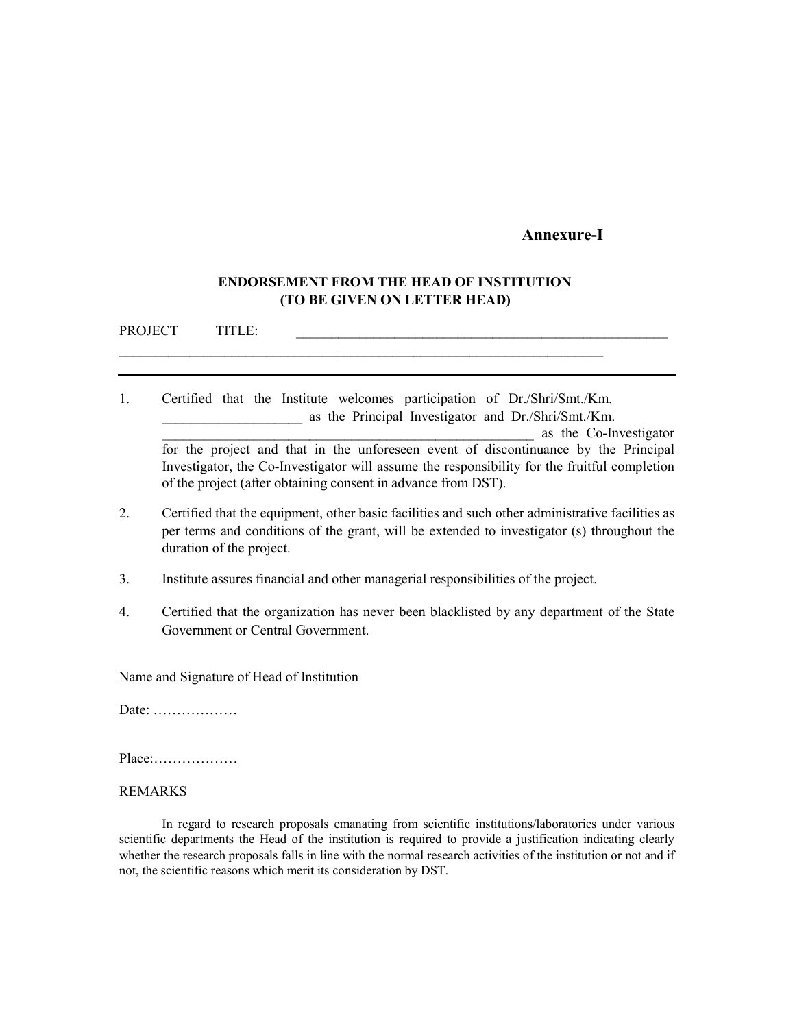### **Annexure-I**

## **ENDORSEMENT FROM THE HEAD OF INSTITUTION (TO BE GIVEN ON LETTER HEAD)**

\_\_\_\_\_\_\_\_\_\_\_\_\_\_\_\_\_\_\_\_\_\_\_\_\_\_\_\_\_\_\_\_\_\_\_\_\_\_\_\_\_\_\_\_\_\_\_\_\_\_\_\_\_\_\_\_\_\_\_\_\_\_\_\_\_\_\_\_\_

PROJECT TITLE:

- 1. Certified that the Institute welcomes participation of Dr./Shri/Smt./Km. as the Principal Investigator and Dr./Shri/Smt./Km. \_\_\_\_\_\_\_\_\_\_\_\_\_\_\_\_\_\_\_\_\_\_\_\_\_\_\_\_\_\_\_\_\_\_\_\_\_\_\_\_\_\_\_\_\_\_\_\_\_\_\_\_\_ as the Co-Investigator for the project and that in the unforeseen event of discontinuance by the Principal Investigator, the Co-Investigator will assume the responsibility for the fruitful completion of the project (after obtaining consent in advance from DST).
- 2. Certified that the equipment, other basic facilities and such other administrative facilities as per terms and conditions of the grant, will be extended to investigator (s) throughout the duration of the project.
- 3. Institute assures financial and other managerial responsibilities of the project.
- 4. Certified that the organization has never been blacklisted by any department of the State Government or Central Government.

Name and Signature of Head of Institution

Date: ………………

Place:………………

#### REMARKS

In regard to research proposals emanating from scientific institutions/laboratories under various scientific departments the Head of the institution is required to provide a justification indicating clearly whether the research proposals falls in line with the normal research activities of the institution or not and if not, the scientific reasons which merit its consideration by DST.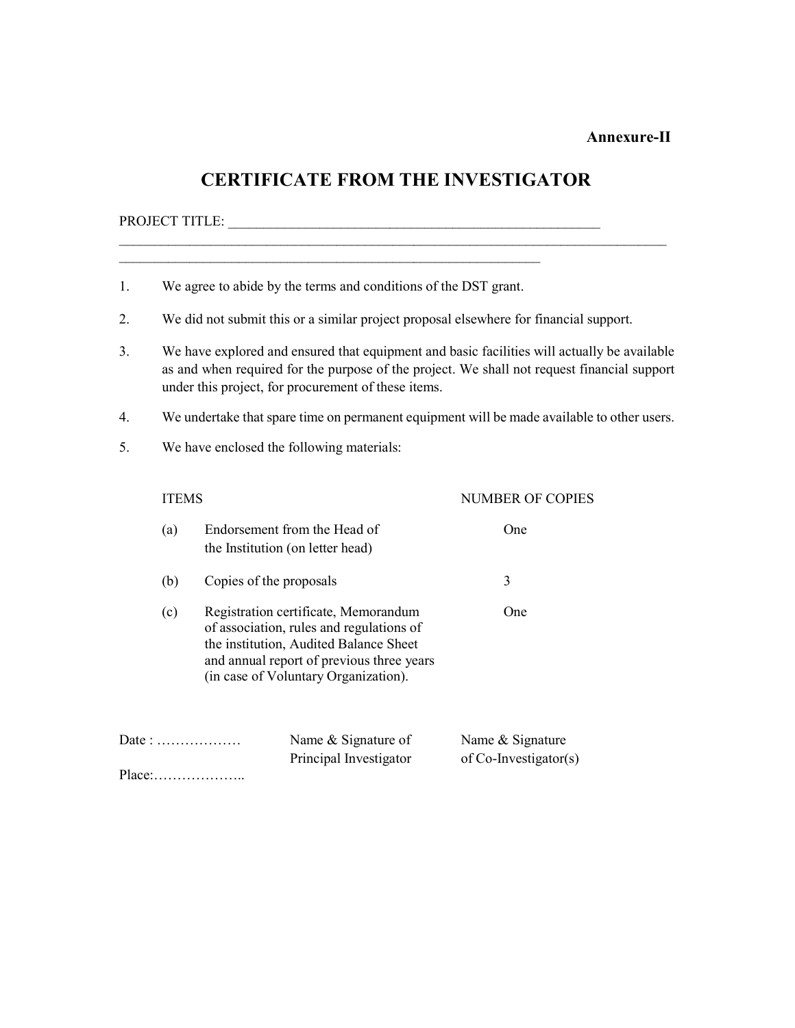#### **Annexure-II**

# **CERTIFICATE FROM THE INVESTIGATOR**

# PROJECT TITLE: \_\_\_\_\_\_\_\_\_\_\_\_\_\_\_\_\_\_\_\_\_\_\_\_\_\_\_\_\_\_\_\_\_\_\_\_\_\_\_\_\_\_\_\_\_\_\_\_\_\_\_\_\_

1. We agree to abide by the terms and conditions of the DST grant.

\_\_\_\_\_\_\_\_\_\_\_\_\_\_\_\_\_\_\_\_\_\_\_\_\_\_\_\_\_\_\_\_\_\_\_\_\_\_\_\_\_\_\_\_\_\_\_\_\_\_\_\_\_\_\_\_\_\_\_\_

- 2. We did not submit this or a similar project proposal elsewhere for financial support.
- 3. We have explored and ensured that equipment and basic facilities will actually be available as and when required for the purpose of the project. We shall not request financial support under this project, for procurement of these items.
- 4. We undertake that spare time on permanent equipment will be made available to other users.
- 5. We have enclosed the following materials:

# ITEMS NUMBER OF COPIES (a) Endorsement from the Head of One the Institution (on letter head) (b) Copies of the proposals 3 (c) Registration certificate, Memorandum One of association, rules and regulations of the institution, Audited Balance Sheet and annual report of previous three years (in case of Voluntary Organization).

| Date: $\dots\dots\dots\dots\dots\dots\dots$ | Name & Signature of    | Name & Signature      |  |  |
|---------------------------------------------|------------------------|-----------------------|--|--|
|                                             | Principal Investigator | of Co-Investigator(s) |  |  |
| $Place: \ldots \ldots \ldots \ldots \ldots$ |                        |                       |  |  |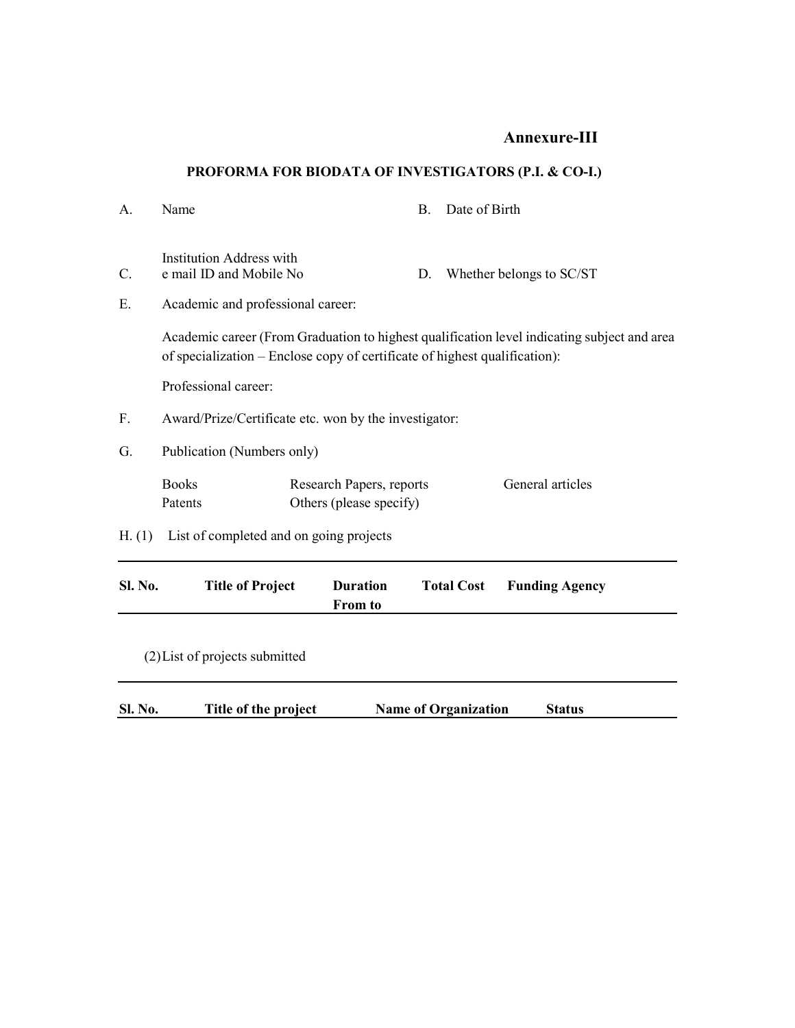# **Annexure-III**

# **PROFORMA FOR BIODATA OF INVESTIGATORS (P.I. & CO-I.)**

|         |                                                            | <b>From to</b>                                                             |    |                          |                                                                                             |  |  |
|---------|------------------------------------------------------------|----------------------------------------------------------------------------|----|--------------------------|---------------------------------------------------------------------------------------------|--|--|
| Sl. No. | <b>Title of Project</b>                                    | <b>Duration</b>                                                            |    | <b>Total Cost</b>        | <b>Funding Agency</b>                                                                       |  |  |
| H. (1)  |                                                            | List of completed and on going projects                                    |    |                          |                                                                                             |  |  |
|         | <b>Books</b><br>Patents                                    | Research Papers, reports<br>Others (please specify)                        |    |                          | General articles                                                                            |  |  |
| G.      | Publication (Numbers only)                                 |                                                                            |    |                          |                                                                                             |  |  |
| F.      | Award/Prize/Certificate etc. won by the investigator:      |                                                                            |    |                          |                                                                                             |  |  |
|         | Professional career:                                       |                                                                            |    |                          |                                                                                             |  |  |
|         |                                                            | of specialization – Enclose copy of certificate of highest qualification): |    |                          | Academic career (From Graduation to highest qualification level indicating subject and area |  |  |
| Ε.      | Academic and professional career:                          |                                                                            |    |                          |                                                                                             |  |  |
| C.      | <b>Institution Address with</b><br>e mail ID and Mobile No |                                                                            | D. | Whether belongs to SC/ST |                                                                                             |  |  |
| Α.      | Name                                                       |                                                                            | B. | Date of Birth            |                                                                                             |  |  |

(2)List of projects submitted

| <b>Sl. No.</b> | Title of the project | <b>Name of Organization</b> | <b>Status</b> |  |
|----------------|----------------------|-----------------------------|---------------|--|
|----------------|----------------------|-----------------------------|---------------|--|